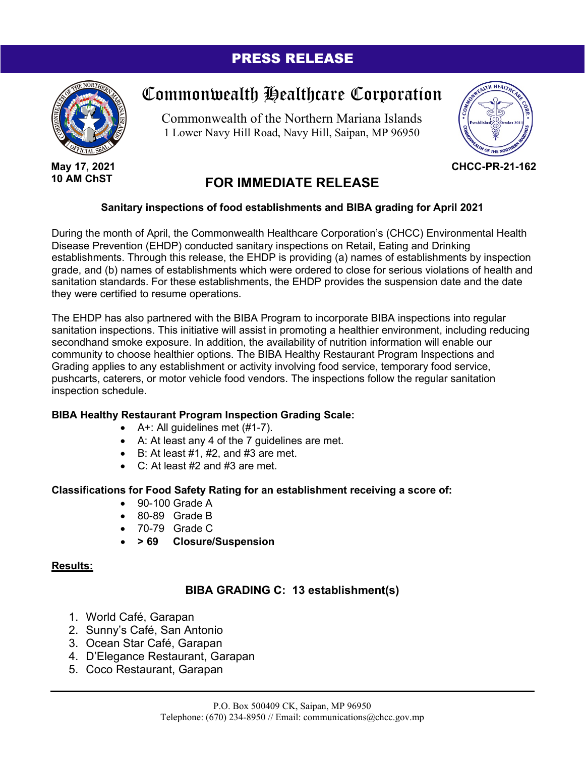# PRESS RELEASE



**May 17, 2021 10 AM ChST**

# Commonwealth Healthcare Corporation

Commonwealth of the Northern Mariana Islands 1 Lower Navy Hill Road, Navy Hill, Saipan, MP 96950



**CHCC-PR-21-162**

# **FOR IMMEDIATE RELEASE**

#### **Sanitary inspections of food establishments and BIBA grading for April 2021**

During the month of April, the Commonwealth Healthcare Corporation's (CHCC) Environmental Health Disease Prevention (EHDP) conducted sanitary inspections on Retail, Eating and Drinking establishments. Through this release, the EHDP is providing (a) names of establishments by inspection grade, and (b) names of establishments which were ordered to close for serious violations of health and sanitation standards. For these establishments, the EHDP provides the suspension date and the date they were certified to resume operations.

The EHDP has also partnered with the BIBA Program to incorporate BIBA inspections into regular sanitation inspections. This initiative will assist in promoting a healthier environment, including reducing secondhand smoke exposure. In addition, the availability of nutrition information will enable our community to choose healthier options. The BIBA Healthy Restaurant Program Inspections and Grading applies to any establishment or activity involving food service, temporary food service, pushcarts, caterers, or motor vehicle food vendors. The inspections follow the regular sanitation inspection schedule.

#### **BIBA Healthy Restaurant Program Inspection Grading Scale:**

- $\bullet$  A+: All guidelines met (#1-7).
- A: At least any 4 of the 7 guidelines are met.
- $\bullet$  B: At least  $\#1$ ,  $\#2$ , and  $\#3$  are met.
- $C:$  At least #2 and #3 are met.

#### **Classifications for Food Safety Rating for an establishment receiving a score of:**

- 90-100 Grade A
- 80-89 Grade B
- 70-79 Grade C
- **> 69 Closure/Suspension**

#### **Results:**

## **BIBA GRADING C: 13 establishment(s)**

- 1. World Café, Garapan
- 2. Sunny's Café, San Antonio
- 3. Ocean Star Café, Garapan
- 4. D'Elegance Restaurant, Garapan
- 5. Coco Restaurant, Garapan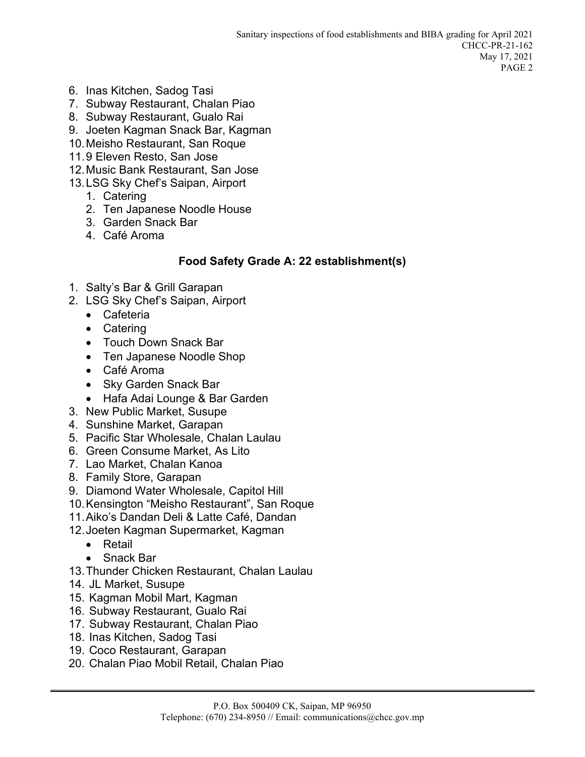- 6. Inas Kitchen, Sadog Tasi
- 7. Subway Restaurant, Chalan Piao
- 8. Subway Restaurant, Gualo Rai
- 9. Joeten Kagman Snack Bar, Kagman
- 10.Meisho Restaurant, San Roque
- 11.9 Eleven Resto, San Jose
- 12.Music Bank Restaurant, San Jose
- 13.LSG Sky Chef's Saipan, Airport
	- 1. Catering
	- 2. Ten Japanese Noodle House
	- 3. Garden Snack Bar
	- 4. Café Aroma

## **Food Safety Grade A: 22 establishment(s)**

- 1. Salty's Bar & Grill Garapan
- 2. LSG Sky Chef's Saipan, Airport
	- Cafeteria
	- Catering
	- Touch Down Snack Bar
	- Ten Japanese Noodle Shop
	- Café Aroma
	- Sky Garden Snack Bar
	- Hafa Adai Lounge & Bar Garden
- 3. New Public Market, Susupe
- 4. Sunshine Market, Garapan
- 5. Pacific Star Wholesale, Chalan Laulau
- 6. Green Consume Market, As Lito
- 7. Lao Market, Chalan Kanoa
- 8. Family Store, Garapan
- 9. Diamond Water Wholesale, Capitol Hill
- 10.Kensington "Meisho Restaurant", San Roque
- 11.Aiko's Dandan Deli & Latte Café, Dandan
- 12.Joeten Kagman Supermarket, Kagman
	- Retail
	- Snack Bar
- 13.Thunder Chicken Restaurant, Chalan Laulau
- 14. JL Market, Susupe
- 15. Kagman Mobil Mart, Kagman
- 16. Subway Restaurant, Gualo Rai
- 17. Subway Restaurant, Chalan Piao
- 18. Inas Kitchen, Sadog Tasi
- 19. Coco Restaurant, Garapan
- 20. Chalan Piao Mobil Retail, Chalan Piao